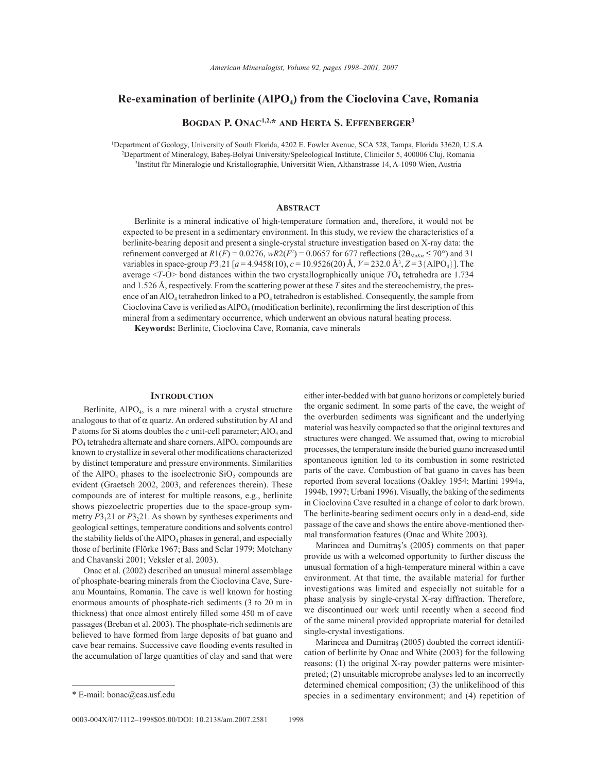# **Re-examination of berlinite (AlPO<sub>4</sub>) from the Cioclovina Cave, Romania**

**Bogdan P. Onac1,2,\* and Herta S. Effenberger3**

1 Department of Geology, University of South Florida, 4202 E. Fowler Avenue, SCA 528, Tampa, Florida 33620, U.S.A. 2 Department of Mineralogy, Babeş-Bolyai University/Speleological Institute, Clinicilor 5, 400006 Cluj, Romania 3 Institut für Mineralogie und Kristallographie, Universität Wien, Althanstrasse 14, A-1090 Wien, Austria

## **ABSTRACT**

Berlinite is a mineral indicative of high-temperature formation and, therefore, it would not be expected to be present in a sedimentary environment. In this study, we review the characteristics of a berlinite-bearing deposit and present a single-crystal structure investigation based on X-ray data: the refinement converged at  $R1(F) = 0.0276$ ,  $wR2(F^2) = 0.0657$  for 677 reflections ( $2\theta_{\text{Mok}} \le 70^\circ$ ) and 31 variables in space-group *P*3121 [*a* = 4.9458(10), *c* = 10.9526(20) Å, *V* = 232.0 Å3 , *Z* = 3{AlPO4}]. The average <*T*-O> bond distances within the two crystallographically unique *T*O4 tetrahedra are 1.734 and 1.526 Å, respectively. From the scattering power at these *T* sites and the stereochemistry, the presence of an AlO<sub>4</sub> tetrahedron linked to a PO<sub>4</sub> tetrahedron is established. Consequently, the sample from Cioclovina Cave is verified as  $AIPO<sub>4</sub>$  (modification berlinite), reconfirming the first description of this mineral from a sedimentary occurrence, which underwent an obvious natural heating process.

**Keywords:** Berlinite, Cioclovina Cave, Romania, cave minerals

## **Introduction**

Berlinite,  $A_1PO_4$ , is a rare mineral with a crystal structure analogous to that of  $\alpha$  quartz. An ordered substitution by Al and P atoms for Si atoms doubles the *c* unit-cell parameter; AlO<sub>4</sub> and  $PO<sub>4</sub>$  tetrahedra alternate and share corners. AlPO<sub>4</sub> compounds are known to crystallize in several other modifications characterized by distinct temperature and pressure environments. Similarities of the AlPO<sub>4</sub> phases to the isoelectronic  $SiO<sub>2</sub>$  compounds are evident (Graetsch 2002, 2003, and references therein). These compounds are of interest for multiple reasons, e.g., berlinite shows piezoelectric properties due to the space-group symmetry  $P3_121$  or  $P3_221$ . As shown by syntheses experiments and geological settings, temperature conditions and solvents control the stability fields of the  $AIPO<sub>4</sub>$  phases in general, and especially those of berlinite (Flörke 1967; Bass and Sclar 1979; Motchany and Chavanski 2001; Veksler et al. 2003).

Onac et al. (2002) described an unusual mineral assemblage of phosphate-bearing minerals from the Cioclovina Cave, Sureanu Mountains, Romania. The cave is well known for hosting enormous amounts of phosphate-rich sediments (3 to 20 m in thickness) that once almost entirely filled some 450 m of cave passages (Breban et al. 2003). The phosphate-rich sediments are believed to have formed from large deposits of bat guano and cave bear remains. Successive cave flooding events resulted in the accumulation of large quantities of clay and sand that were

either inter-bedded with bat guano horizons or completely buried the organic sediment. In some parts of the cave, the weight of the overburden sediments was significant and the underlying material was heavily compacted so that the original textures and structures were changed. We assumed that, owing to microbial processes, the temperature inside the buried guano increased until spontaneous ignition led to its combustion in some restricted parts of the cave. Combustion of bat guano in caves has been reported from several locations (Oakley 1954; Martini 1994a, 1994b, 1997; Urbani 1996). Visually, the baking of the sediments in Cioclovina Cave resulted in a change of color to dark brown. The berlinite-bearing sediment occurs only in a dead-end, side passage of the cave and shows the entire above-mentioned thermal transformation features (Onac and White 2003).

Marincea and Dumitraş's (2005) comments on that paper provide us with a welcomed opportunity to further discuss the unusual formation of a high-temperature mineral within a cave environment. At that time, the available material for further investigations was limited and especially not suitable for a phase analysis by single-crystal X-ray diffraction. Therefore, we discontinued our work until recently when a second find of the same mineral provided appropriate material for detailed single-crystal investigations.

Marincea and Dumitraş (2005) doubted the correct identification of berlinite by Onac and White (2003) for the following reasons: (1) the original X-ray powder patterns were misinterpreted; (2) unsuitable microprobe analyses led to an incorrectly determined chemical composition; (3) the unlikelihood of this \* E-mail: bonac@cas.usf.edu species in a sedimentary environment; and (4) repetition of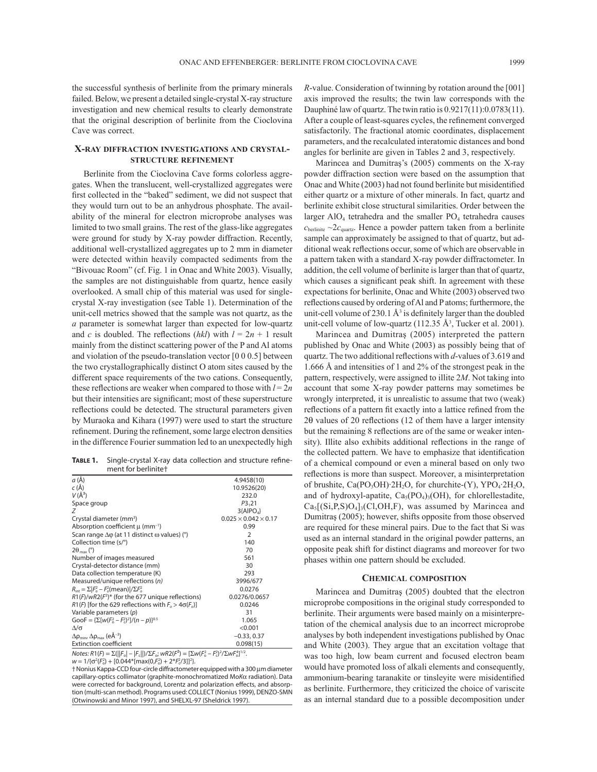the successful synthesis of berlinite from the primary minerals failed. Below, we present a detailed single-crystal X-ray structure investigation and new chemical results to clearly demonstrate that the original description of berlinite from the Cioclovina Cave was correct.

# **X-ray diffraction investigations and crystalstructure refinement**

Berlinite from the Cioclovina Cave forms colorless aggregates. When the translucent, well-crystallized aggregates were first collected in the "baked" sediment, we did not suspect that they would turn out to be an anhydrous phosphate. The availability of the mineral for electron microprobe analyses was limited to two small grains. The rest of the glass-like aggregates were ground for study by X-ray powder diffraction. Recently, additional well-crystallized aggregates up to 2 mm in diameter were detected within heavily compacted sediments from the "Bivouac Room" (cf. Fig. 1 in Onac and White 2003). Visually, the samples are not distinguishable from quartz, hence easily overlooked. A small chip of this material was used for singlecrystal X-ray investigation (see Table 1). Determination of the unit-cell metrics showed that the sample was not quartz, as the *a* parameter is somewhat larger than expected for low-quartz and *c* is doubled. The reflections (*hkl*) with  $l = 2n + 1$  result mainly from the distinct scattering power of the P and Al atoms and violation of the pseudo-translation vector [0 0 0.5] between the two crystallographically distinct O atom sites caused by the different space requirements of the two cations. Consequently, these reflections are weaker when compared to those with  $l = 2n$ but their intensities are significant; most of these superstructure reflections could be detected. The structural parameters given by Muraoka and Kihara (1997) were used to start the structure refinement. During the refinement, some large electron densities in the difference Fourier summation led to an unexpectedly high

**Table 1.** Single-crystal X-ray data collection and structure refinement for berlinite†

| a (Å)                                                                                                                        | 4.9458(10)                       |
|------------------------------------------------------------------------------------------------------------------------------|----------------------------------|
| $c(\AA)$                                                                                                                     | 10.9526(20)                      |
| $V(\AA^3)$                                                                                                                   | 232.0                            |
| Space group                                                                                                                  | P3,21                            |
| Ζ                                                                                                                            | $3$ {AlPO <sub>4</sub> }         |
| Crystal diameter (mm <sup>3</sup> )                                                                                          | $0.025 \times 0.042 \times 0.17$ |
| Absorption coefficient $\mu$ (mm <sup>-1</sup> )                                                                             | 0.99                             |
| Scan range $\Delta\varphi$ (at 11 distinct $\omega$ values) (°)                                                              | $\mathcal{P}$                    |
| Collection time (s/°)                                                                                                        | 140                              |
| $2\theta_{\text{max}}$ (°)                                                                                                   | 70                               |
| Number of images measured                                                                                                    | 561                              |
| Crystal-detector distance (mm)                                                                                               | 30                               |
| Data collection temperature (K)                                                                                              | 293                              |
| Measured/unique reflections (n)                                                                                              | 3996/677                         |
| $R_{\rm int} = \Sigma  F_o^2 - F_o^2$ (mean) / $\Sigma F_o^2$                                                                | 0.0276                           |
| $R1(F)/wR2(F^2)^*$ (for the 677 unique reflections)                                                                          | 0.0276/0.0657                    |
| $R1(F)$ [for the 629 reflections with $F_0 > 4\sigma(F_0)$ ]                                                                 | 0.0246                           |
| Variable parameters (p)                                                                                                      | 31                               |
| GooF = $\{\Sigma[w(F_0^2 - F_0^2)^2]/(n - p)\}^{0.5}$                                                                        | 1.065                            |
| Δ/σ                                                                                                                          | < 0.001                          |
| $\Delta\rho_{\text{min}}$ , $\Delta\rho_{\text{max}}$ (eÅ <sup>-3</sup> )                                                    | $-0.33, 0.37$                    |
| <b>Extinction coefficient</b>                                                                                                | 0.098(15)                        |
| $Notos. B1/D = \nabla/  F  $ $  F  / \nabla F  \cdot \frac{\partial}{\partial P} -  \nabla u / \nabla u $ $  \nabla u  ^{2}$ |                                  |

*Notes: R*1(*F*) = Σ(||*F*o| – |*F*c||)/Σ*F*o; *wR*2(*F*²) = [Σ*w*(*F*<sup>o</sup>  $=$  [2W(F<sub>o</sub>^- $-F_c^2$ <sup>2</sup>/ $\Sigma$ *w* $F_0^4$ <sup>1/2</sup>.

 $w = 1/6\sigma^2(F_o^2) + [0.044*[\text{max}(0,\text{F}_o^2) + 2* \text{F}_c^2/3]]^2].$ 

† Nonius Kappa-CCD four-circle diffractometer equipped with a 300 μm diameter capillary-optics collimator (graphite-monochromatized Mo*K*α radiation). Data were corrected for background, Lorentz and polarization effects, and absorption (multi-scan method). Programs used: COLLECT (Nonius 1999), DENZO-SMN (Otwinowski and Minor 1997), and SHELXL-97 (Sheldrick 1997).

*R*-value. Consideration of twinning by rotation around the [001] axis improved the results; the twin law corresponds with the Dauphiné law of quartz. The twin ratio is 0.9217(11):0.0783(11). After a couple of least-squares cycles, the refinement converged satisfactorily. The fractional atomic coordinates, displacement parameters, and the recalculated interatomic distances and bond angles for berlinite are given in Tables 2 and 3, respectively.

Marincea and Dumitraş's (2005) comments on the X-ray powder diffraction section were based on the assumption that Onac and White (2003) had not found berlinite but misidentified either quartz or a mixture of other minerals. In fact, quartz and berlinite exhibit close structural similarities. Order between the larger  $AIO<sub>4</sub>$  tetrahedra and the smaller  $PO<sub>4</sub>$  tetrahedra causes  $c_{\text{berlinite}} \sim 2c_{\text{quartz}}$ . Hence a powder pattern taken from a berlinite sample can approximately be assigned to that of quartz, but additional weak reflections occur, some of which are observable in a pattern taken with a standard X-ray powder diffractometer. In addition, the cell volume of berlinite is larger than that of quartz, which causes a significant peak shift. In agreement with these expectations for berlinite, Onac and White (2003) observed two reflections caused by ordering of Al and P atoms; furthermore, the unit-cell volume of 230.1  $\AA$ <sup>3</sup> is definitely larger than the doubled unit-cell volume of low-quartz  $(112.35 \text{ Å}^3)$ , Tucker et al. 2001).

Marincea and Dumitraş (2005) interpreted the pattern published by Onac and White (2003) as possibly being that of quartz. The two additional reflections with *d*-values of 3.619 and 1.666 Å and intensities of 1 and 2% of the strongest peak in the pattern, respectively, were assigned to illite 2*M*. Not taking into account that some X-ray powder patterns may sometimes be wrongly interpreted, it is unrealistic to assume that two (weak) reflections of a pattern fit exactly into a lattice refined from the 2θ values of 20 reflections (12 of them have a larger intensity but the remaining 8 reflections are of the same or weaker intensity). Illite also exhibits additional reflections in the range of the collected pattern. We have to emphasize that identification of a chemical compound or even a mineral based on only two reflections is more than suspect. Moreover, a misinterpretation of brushite, Ca(PO<sub>3</sub>OH)∙2H<sub>2</sub>O, for churchite-(Y), YPO<sub>4</sub>⋅2H<sub>2</sub>O, and of hydroxyl-apatite,  $Ca<sub>5</sub>(PO<sub>4</sub>)<sub>3</sub>(OH)$ , for chlorellestadite,  $Ca<sub>5</sub>[(Si, P, S)O<sub>4</sub>]<sub>3</sub>(Cl, OH, F)$ , was assumed by Marincea and Dumitraş (2005); however, shifts opposite from those observed are required for these mineral pairs. Due to the fact that Si was used as an internal standard in the original powder patterns, an opposite peak shift for distinct diagrams and moreover for two phases within one pattern should be excluded.

## **Chemical composition**

Marincea and Dumitraş (2005) doubted that the electron microprobe compositions in the original study corresponded to berlinite. Their arguments were based mainly on a misinterpretation of the chemical analysis due to an incorrect microprobe analyses by both independent investigations published by Onac and White (2003). They argue that an excitation voltage that was too high, low beam current and focused electron beam would have promoted loss of alkali elements and consequently, ammonium-bearing taranakite or tinsleyite were misidentified as berlinite. Furthermore, they criticized the choice of variscite as an internal standard due to a possible decomposition under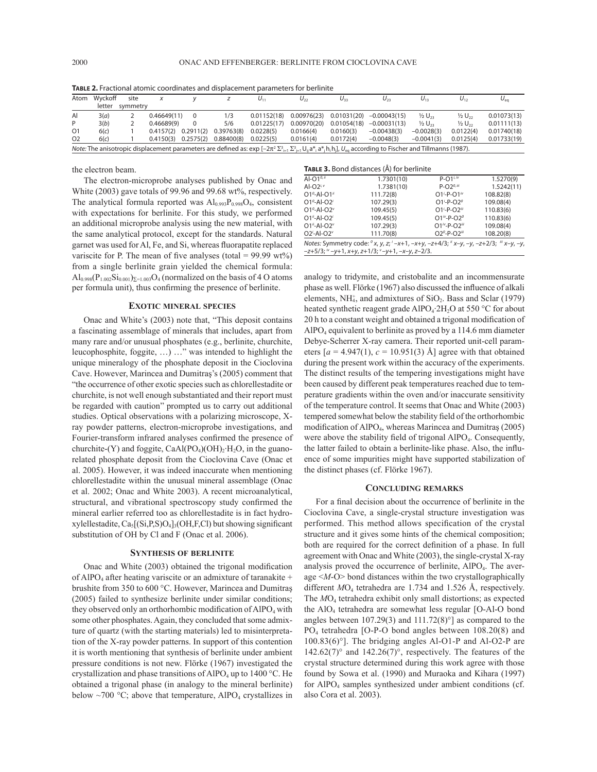| <b>INDLE 4.</b> FRIGHT REQUIRE COOLUITATES AND UISPIRECTIVE IN BRITISTES TOP DETINING                                                                                                                  |         |          |                         |  |            |             |             |             |                            |                     |                      |                 |
|--------------------------------------------------------------------------------------------------------------------------------------------------------------------------------------------------------|---------|----------|-------------------------|--|------------|-------------|-------------|-------------|----------------------------|---------------------|----------------------|-----------------|
| Atom                                                                                                                                                                                                   | Wvckoff | site     |                         |  |            | $U_{11}$    | $U_{22}$    | $U_{33}$    | $U_{23}$                   | $U_{13}$            | $U_{12}$             | $U_{\text{eq}}$ |
|                                                                                                                                                                                                        | letter  | symmetry |                         |  |            |             |             |             |                            |                     |                      |                 |
| Al                                                                                                                                                                                                     | 3(a)    |          | 0.46649(11)             |  | 1/3        | 0.01152(18) | 0.00976(23) |             | $0.01031(20) -0.00043(15)$ | $\frac{1}{2}U_{23}$ | $\frac{1}{2} U_{22}$ | 0.01073(13)     |
| P                                                                                                                                                                                                      | 3(b)    |          | 0.46689(9)              |  | 5/6        | 0.01225(17) | 0.00970(20) | 0.01054(18) | $-0.00031(13)$             | $\frac{1}{2}U_{22}$ | $\frac{1}{2} U_{22}$ | 0.01111(13)     |
| 01                                                                                                                                                                                                     | 6(c)    |          | $0.4157(2)$ $0.2911(2)$ |  | 0.39763(8) | 0.0228(5)   | 0.0166(4)   | 0.0160(3)   | $-0.00438(3)$              | $-0.0028(3)$        | 0.0122(4)            | 0.01740(18)     |
| O <sub>2</sub>                                                                                                                                                                                         | 6(c)    |          | $0.4150(3)$ $0.2575(2)$ |  | 0.88400(8) | 0.0225(5)   | 0.0161(4)   | 0.0172(4)   | $-0.0048(3)$               | $-0.0041(3)$        | 0.0125(4)            | 0.01733(19)     |
| <i>Note:</i> The anisotropic displacement parameters are defined as: $\exp[-2\pi^2 \Sigma_{i=1}^3 \Sigma_{i=1}^3 U_{ii} a_{i}^*]$ , $d_{in}^*$ and $U_{e0}$ according to Fischer and Tillmanns (1987). |         |          |                         |  |            |             |             |             |                            |                     |                      |                 |

**Table 2.** Fractional atomic coordinates and displacement parameters for berlinite

the electron beam.

The electron-microprobe analyses published by Onac and White (2003) gave totals of 99.96 and 99.68 wt%, respectively. The analytical formula reported was  $Al_{0.993}P_{0.998}O_4$ , consistent with expectations for berlinite. For this study, we performed an additional microprobe analysis using the new material, with the same analytical protocol, except for the standards. Natural garnet was used for Al, Fe, and Si, whereas fluorapatite replaced variscite for P. The mean of five analyses (total =  $99.99$  wt%) from a single berlinite grain yielded the chemical formula:  $\text{Al}_{0.998}(\text{P}_{1.002}\text{Si}_{0.001})_{\Sigma=1.003}\text{O}_4$  (normalized on the basis of 4 O atoms per formula unit), thus confirming the presence of berlinite.

# **Exotic mineral species**

Onac and White's (2003) note that, "This deposit contains a fascinating assemblage of minerals that includes, apart from many rare and/or unusual phosphates (e.g., berlinite, churchite, leucophosphite, foggite, …) …" was intended to highlight the unique mineralogy of the phosphate deposit in the Cioclovina Cave. However, Marincea and Dumitraş's (2005) comment that "the occurrence of other exotic species such as chlorellestadite or churchite, is not well enough substantiated and their report must be regarded with caution" prompted us to carry out additional studies. Optical observations with a polarizing microscope, Xray powder patterns, electron-microprobe investigations, and Fourier-transform infrared analyses confirmed the presence of churchite-(Y) and foggite,  $CaAl(PO<sub>4</sub>)(OH)<sub>2</sub>·H<sub>2</sub>O$ , in the guanorelated phosphate deposit from the Cioclovina Cave (Onac et al. 2005). However, it was indeed inaccurate when mentioning chlorellestadite within the unusual mineral assemblage (Onac et al. 2002; Onac and White 2003). A recent microanalytical, structural, and vibrational spectroscopy study confirmed the mineral earlier referred too as chlorellestadite is in fact hydroxylellestadite,  $Ca<sub>5</sub>[(Si, P,S)O<sub>4</sub>]<sub>3</sub>(OH, F, Cl)$  but showing significant substitution of OH by Cl and F (Onac et al. 2006).

# **Synthesis of berlinite**

Onac and White (2003) obtained the trigonal modification of AlPO<sub>4</sub> after heating variscite or an admixture of taranakite + brushite from 350 to 600 °C. However, Marincea and Dumitraş (2005) failed to synthesize berlinite under similar conditions; they observed only an orthorhombic modification of  $AIPO<sub>4</sub>$  with some other phosphates. Again, they concluded that some admixture of quartz (with the starting materials) led to misinterpretation of the X-ray powder patterns. In support of this contention it is worth mentioning that synthesis of berlinite under ambient pressure conditions is not new. Flörke (1967) investigated the crystallization and phase transitions of AlPO<sub>4</sub> up to 1400 °C. He obtained a trigonal phase (in analogy to the mineral berlinite) below  $\sim$ 700 °C; above that temperature, AlPO<sub>4</sub> crystallizes in

#### **Table 3.** Bond distances (Å) for berlinite

| <b>THE STOUTH GISLATICS</b> (11) TOT DETINING |                                                                                      |                          |            |  |  |  |  |  |
|-----------------------------------------------|--------------------------------------------------------------------------------------|--------------------------|------------|--|--|--|--|--|
| Al- $O1^{0,ii}$                               | 1.7301(10)                                                                           | $P-O1i$                  | 1.5270(9)  |  |  |  |  |  |
| Al- $O2^{i, v}$                               | 1.7381(10)                                                                           | $P-O2^{0, iii}$          | 1.5242(11) |  |  |  |  |  |
| $O1^0$ -Al-O1 <sup>ii</sup>                   | 111.72(8)                                                                            | $O1^{i}$ -P- $O1^{iv}$   | 108.82(8)  |  |  |  |  |  |
| $O1^0$ -Al-O2 <sup>i</sup>                    | 107.29(3)                                                                            | $O1^{i}$ -P- $O2^{o}$    | 109.08(4)  |  |  |  |  |  |
| $O1^o$ -Al-O2 $v$                             | 109.45(5)                                                                            | $O1^{i}$ -P- $O2^{iii}$  | 110.83(6)  |  |  |  |  |  |
| $O1^{ii}$ -Al- $O2^i$                         | 109.45(5)                                                                            | $O1^{iv} - P - O2^o$     | 110.83(6)  |  |  |  |  |  |
| $O1^{ii}$ -Al- $O2^{\nu}$                     | 107.29(3)                                                                            | $O1^{iv} - P - O2^{iii}$ | 109.08(4)  |  |  |  |  |  |
| $O2^i$ -Al-O2 $^v$                            | 111.70(8)                                                                            | $O2^0-P-O2$ iii          | 108.20(8)  |  |  |  |  |  |
|                                               | Notes: Symmetry code: $(x, y, z; i-x+1, -x+y, -z+4/3; i x-y, -y, -z+2/3; i x-y, -y,$ |                          |            |  |  |  |  |  |
|                                               | $-z+5/3$ ; $\dot{v}$ -y+1, x+y, z+1/3; $\dot{v}$ -y+1, -x-y, z-2/3.                  |                          |            |  |  |  |  |  |
|                                               |                                                                                      |                          |            |  |  |  |  |  |

analogy to tridymite, and cristobalite and an incommensurate phase as well. Flörke (1967) also discussed the influence of alkali elements, NH $_4^+$ , and admixtures of SiO<sub>2</sub>. Bass and Sclar (1979) heated synthetic reagent grade AlPO<sub>4</sub>⋅2H<sub>2</sub>O at 550 °C for about 20 h to a constant weight and obtained a trigonal modification of AlPO4 equivalent to berlinite as proved by a 114.6 mm diameter Debye-Scherrer X-ray camera. Their reported unit-cell parameters  $[a = 4.947(1), c = 10.951(3)$  Å] agree with that obtained during the present work within the accuracy of the experiments. The distinct results of the tempering investigations might have been caused by different peak temperatures reached due to temperature gradients within the oven and/or inaccurate sensitivity of the temperature control. It seems that Onac and White (2003) tempered somewhat below the stability field of the orthorhombic modification of AlPO4, whereas Marincea and Dumitraş (2005) were above the stability field of trigonal AlPO<sub>4</sub>. Consequently, the latter failed to obtain a berlinite-like phase. Also, the influence of some impurities might have supported stabilization of the distinct phases (cf. Flörke 1967).

## **Concluding remarks**

For a final decision about the occurrence of berlinite in the Cioclovina Cave, a single-crystal structure investigation was performed. This method allows specification of the crystal structure and it gives some hints of the chemical composition; both are required for the correct definition of a phase. In full agreement with Onac and White (2003), the single-crystal X-ray analysis proved the occurrence of berlinite,  $AIPO<sub>4</sub>$ . The average <*M*-O> bond distances within the two crystallographically different  $MO_4$  tetrahedra are 1.734 and 1.526 Å, respectively. The  $MO<sub>4</sub>$  tetrahedra exhibit only small distortions; as expected the AlO4 tetrahedra are somewhat less regular [O-Al-O bond angles between  $107.29(3)$  and  $111.72(8)°$ ] as compared to the PO4 tetrahedra [O-P-O bond angles between 108.20(8) and 100.83(6)°]. The bridging angles Al-O1-P and Al-O2-P are 142.62(7) $^{\circ}$  and 142.26(7) $^{\circ}$ , respectively. The features of the crystal structure determined during this work agree with those found by Sowa et al. (1990) and Muraoka and Kihara (1997) for AlPO<sub>4</sub> samples synthesized under ambient conditions (cf. also Cora et al. 2003).